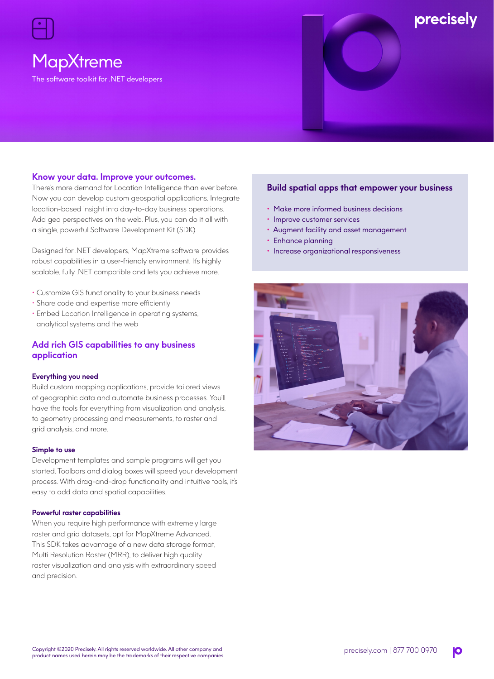

# **MapXtreme**

The software toolkit for .NET developers

# precisely

# **Know your data. Improve your outcomes.**

There's more demand for Location Intelligence than ever before. Now you can develop custom geospatial applications. Integrate location-based insight into day-to-day business operations. Add geo perspectives on the web. Plus, you can do it all with a single, powerful Software Development Kit (SDK).

Designed for .NET developers, MapXtreme software provides robust capabilities in a user-friendly environment. It's highly scalable, fully .NET compatible and lets you achieve more.

- Customize GIS functionality to your business needs
- Share code and expertise more efficiently
- Embed Location Intelligence in operating systems, analytical systems and the web

# **Add rich GIS capabilities to any business application**

#### **Everything you need**

Build custom mapping applications, provide tailored views of geographic data and automate business processes. You'll have the tools for everything from visualization and analysis, to geometry processing and measurements, to raster and grid analysis, and more.

#### **Simple to use**

Development templates and sample programs will get you started. Toolbars and dialog boxes will speed your development process. With drag-and-drop functionality and intuitive tools, it's easy to add data and spatial capabilities.

### **Powerful raster capabilities**

When you require high performance with extremely large raster and grid datasets, opt for MapXtreme Advanced. This SDK takes advantage of a new data storage format, Multi Resolution Raster (MRR), to deliver high quality raster visualization and analysis with extraordinary speed and precision.

# **Build spatial apps that empower your business**

- Make more informed business decisions
- Improve customer services
- Augment facility and asset management
- Enhance planning
- Increase organizational responsiveness